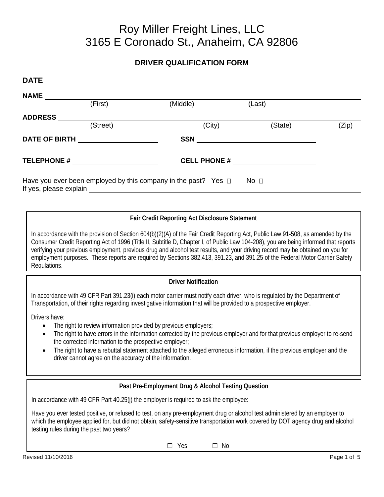# Roy Miller Freight Lines, LLC 3165 E Coronado St., Anaheim, CA 92806

# **DRIVER QUALIFICATION FORM**

| <b>DATE</b>            |               |                                                                     |                 |       |
|------------------------|---------------|---------------------------------------------------------------------|-----------------|-------|
| <b>NAME</b>            |               |                                                                     |                 |       |
|                        | (First)       | (Middle)                                                            | (Last)          |       |
| <b>ADDRESS</b>         |               |                                                                     |                 |       |
|                        | (Street)      | (City)                                                              | (State)         | (Zip) |
|                        | DATE OF BIRTH | <b>SSN</b>                                                          |                 |       |
|                        | TELEPHONE #   |                                                                     |                 |       |
| If yes, please explain |               | Have you ever been employed by this company in the past? Yes $\Box$ | No <sub>1</sub> |       |

# **Fair Credit Reporting Act Disclosure Statement**

In accordance with the provision of Section 604(b)(2)(A) of the Fair Credit Reporting Act, Public Law 91-508, as amended by the Consumer Credit Reporting Act of 1996 (Title II, Subtitle D, Chapter I, of Public Law 104-208), you are being informed that reports verifying your previous employment, previous drug and alcohol test results, and your driving record may be obtained on you for employment purposes. These reports are required by Sections 382.413, 391.23, and 391.25 of the Federal Motor Carrier Safety Regulations.

# **Driver Notification**

In accordance with 49 CFR Part 391.23(i) each motor carrier must notify each driver, who is regulated by the Department of Transportation, of their rights regarding investigative information that will be provided to a prospective employer.

Drivers have:

- The right to review information provided by previous employers;
- The right to have errors in the information corrected by the previous employer and for that previous employer to re-send the corrected information to the prospective employer;
- The right to have a rebuttal statement attached to the alleged erroneous information, if the previous employer and the driver cannot agree on the accuracy of the information.

# **Past Pre-Employment Drug & Alcohol Testing Question**

In accordance with 49 CFR Part 40.25(j) the employer is required to ask the employee:

Have you ever tested positive, or refused to test, on any pre-employment drug or alcohol test administered by an employer to which the employee applied for, but did not obtain, safety-sensitive transportation work covered by DOT agency drug and alcohol testing rules during the past two years?

□ Yes □ No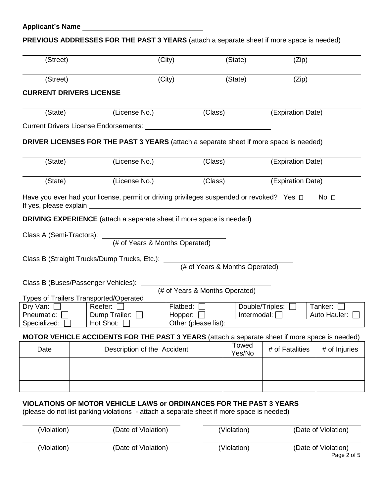# **PREVIOUS ADDRESSES FOR THE PAST 3 YEARS** (attach a separate sheet if more space is needed)

| (Street)     |                                                                                                | (City)   | (State)                        | (Zip)             |                 |
|--------------|------------------------------------------------------------------------------------------------|----------|--------------------------------|-------------------|-----------------|
| (Street)     |                                                                                                | (City)   | (State)                        | (Zip)             |                 |
|              | <b>CURRENT DRIVERS LICENSE</b>                                                                 |          |                                |                   |                 |
| (State)      | (License No.)                                                                                  |          | (Class)                        | (Expiration Date) |                 |
|              | Current Drivers License Endorsements: Lawrence Andrew March 2014                               |          |                                |                   |                 |
|              | DRIVER LICENSES FOR THE PAST 3 YEARS (attach a separate sheet if more space is needed)         |          |                                |                   |                 |
| (State)      | (License No.)                                                                                  |          | (Class)                        | (Expiration Date) |                 |
| (State)      | (License No.)                                                                                  |          | (Class)                        | (Expiration Date) |                 |
|              | Have you ever had your license, permit or driving privileges suspended or revoked? Yes $\Box$  |          |                                |                   | No <sub>1</sub> |
|              | <b>DRIVING EXPERIENCE</b> (attach a separate sheet if more space is needed)                    |          |                                |                   |                 |
|              |                                                                                                |          |                                |                   |                 |
|              |                                                                                                |          |                                |                   |                 |
|              | Class B (Buses/Passenger Vehicles): ____                                                       |          | (# of Years & Months Operated) |                   |                 |
| Dry Van:     | <b>Types of Trailers Transported/Operated</b><br>Reefer:                                       | Flatbed: |                                | Double/Triples:   | Tanker:         |
| Pneumatic:   | Dump Trailer:                                                                                  | Hopper:  |                                | Intermodal:       | Auto Hauler:    |
| Specialized: | Hot Shot:                                                                                      |          | Other (please list):           |                   |                 |
|              | MOTOR VEHICLE ACCIDENTS FOR THE PAST 3 YEARS (attach a separate sheet if more space is needed) |          |                                |                   |                 |
| Date         | Description of the Accident                                                                    |          | Towed<br>Yes/No                | # of Fatalities   | # of Injuries   |
|              |                                                                                                |          |                                |                   |                 |
|              |                                                                                                |          |                                |                   |                 |
|              | VIOLATIONS OF MOTOR VEHICLE LAWS or ORDINANCES FOR THE PAST 3 YEARS                            |          |                                |                   |                 |
|              | (please do not list parking violations - attach a separate sheet if more space is needed)      |          |                                |                   |                 |

| (Violation) | (Date of Violation) | (Violation) | (Date of Violation)                |
|-------------|---------------------|-------------|------------------------------------|
| (Violation) | (Date of Violation) | (Violation) | (Date of Violation)<br>Page 2 of 5 |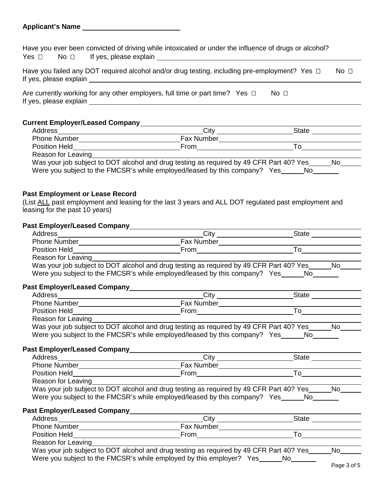### **Applicant's Name**

Have you ever been convicted of driving while intoxicated or under the influence of drugs or alcohol? Yes No If yes, please explain

| Have you failed any DOT required alcohol and/or drug testing, including pre-employment? Yes $\Box$ | – No ⊓ |
|----------------------------------------------------------------------------------------------------|--------|
| If yes, please explain                                                                             |        |

|                        | Are currently working for any other employers, full time or part time? Yes $\Box$ |  |  |
|------------------------|-----------------------------------------------------------------------------------|--|--|
| If yes, please explain |                                                                                   |  |  |

### **Current Employer/Leased Company**

| Address             | City                                                                                    | State |
|---------------------|-----------------------------------------------------------------------------------------|-------|
| <b>Phone Number</b> | <b>Fax Number</b>                                                                       |       |
| Position Held       | <b>From</b>                                                                             |       |
| Reason for Leaving  |                                                                                         |       |
|                     | Was your job subject to DOT alcohol and drug testing as required by 49 CFR Part 40? Yes | No.   |
|                     | Were you subject to the FMCSR's while employed/leased by this company? Yes              | No    |

#### **Past Employment or Lease Record**

(List ALL past employment and leasing for the last 3 years and ALL DOT regulated past employment and leasing for the past 10 years)

# **Past Employer/Leased Company**

| Address              | City                                                                                    | <b>State</b> |
|----------------------|-----------------------------------------------------------------------------------------|--------------|
| <b>Phone Number</b>  | Fax Number                                                                              |              |
| <b>Position Held</b> | From                                                                                    |              |
| Reason for Leaving   |                                                                                         |              |
|                      | Was your job subject to DOT alcohol and drug testing as required by 49 CFR Part 40? Yes | No.          |
|                      | Were you subject to the FMCSR's while employed/leased by this company? Yes No           |              |
|                      |                                                                                         |              |

### **Past Employer/Leased Company**

| Address              | City                                                                                    | State |
|----------------------|-----------------------------------------------------------------------------------------|-------|
| <b>Phone Number</b>  | Fax Number                                                                              |       |
| <b>Position Held</b> | <b>From</b>                                                                             |       |
| Reason for Leaving   |                                                                                         |       |
|                      | Was your job subject to DOT alcohol and drug testing as required by 49 CFR Part 40? Yes | No    |
|                      | Were you subject to the FMCSR's while employed/leased by this company? Yes_             | No.   |

# **Past Employer/Leased Company**

| Address                             | Citv                                                                                    | State |
|-------------------------------------|-----------------------------------------------------------------------------------------|-------|
| <b>Phone Number</b>                 | Fax Number                                                                              |       |
| <b>Position Held</b>                | From                                                                                    |       |
| Reason for Leaving                  |                                                                                         |       |
|                                     | Was your job subject to DOT alcohol and drug testing as required by 49 CFR Part 40? Yes | No.   |
|                                     | Were you subject to the FMCSR's while employed/leased by this company? Yes______No_____ |       |
| <b>Past Employer/Leased Company</b> |                                                                                         |       |

| Address              | Cit                                                                                     | <b>State</b> |   |  |
|----------------------|-----------------------------------------------------------------------------------------|--------------|---|--|
| <b>Phone Number</b>  | <b>Fax Number</b>                                                                       |              |   |  |
| <b>Position Held</b> | From                                                                                    |              |   |  |
| Reason for Leaving   |                                                                                         |              |   |  |
|                      | Wes vour ish subject to DOT sleepel and drug testing as required by 40 CED Dart 402 Ves |              | ᄓ |  |

Was your job subject to DOT alcohol and drug testing as required by 49 CFR Part 40? Yes  $\_\_\_\_\_\_\_\_\_\_\_\_\_\_\_\_\_\_\_\_\$ Were you subject to the FMCSR's while employed by this employer? Yes No Page 3 of 5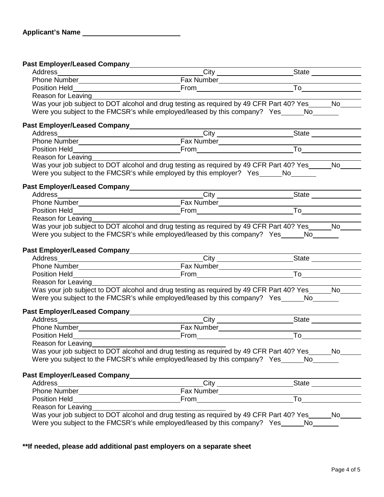**Past Employer/Leased Company**

| $\frac{1}{2}$ ast Employen Ecased Company                                                                                                                                                                                              |                                                                                                        |  |
|----------------------------------------------------------------------------------------------------------------------------------------------------------------------------------------------------------------------------------------|--------------------------------------------------------------------------------------------------------|--|
|                                                                                                                                                                                                                                        |                                                                                                        |  |
|                                                                                                                                                                                                                                        |                                                                                                        |  |
| Reason for Leaving_______                                                                                                                                                                                                              |                                                                                                        |  |
|                                                                                                                                                                                                                                        | Was your job subject to DOT alcohol and drug testing as required by 49 CFR Part 40? Yes______No___     |  |
|                                                                                                                                                                                                                                        | Were you subject to the FMCSR's while employed/leased by this company? Yes _______ No                  |  |
|                                                                                                                                                                                                                                        |                                                                                                        |  |
|                                                                                                                                                                                                                                        | Address City City State State                                                                          |  |
|                                                                                                                                                                                                                                        |                                                                                                        |  |
|                                                                                                                                                                                                                                        |                                                                                                        |  |
| Reason for Leaving                                                                                                                                                                                                                     |                                                                                                        |  |
|                                                                                                                                                                                                                                        | Was your job subject to DOT alcohol and drug testing as required by 49 CFR Part 40? Yes ______ No_____ |  |
|                                                                                                                                                                                                                                        | Were you subject to the FMCSR's while employed by this employer? Yes_____No_____                       |  |
|                                                                                                                                                                                                                                        |                                                                                                        |  |
|                                                                                                                                                                                                                                        |                                                                                                        |  |
|                                                                                                                                                                                                                                        |                                                                                                        |  |
|                                                                                                                                                                                                                                        |                                                                                                        |  |
|                                                                                                                                                                                                                                        |                                                                                                        |  |
| Reason for Leaving                                                                                                                                                                                                                     |                                                                                                        |  |
|                                                                                                                                                                                                                                        | Was your job subject to DOT alcohol and drug testing as required by 49 CFR Part 40? Yes______No____    |  |
|                                                                                                                                                                                                                                        | Were you subject to the FMCSR's while employed/leased by this company? Yes No                          |  |
|                                                                                                                                                                                                                                        |                                                                                                        |  |
| Past Employer/Leased Company______________________                                                                                                                                                                                     |                                                                                                        |  |
|                                                                                                                                                                                                                                        |                                                                                                        |  |
|                                                                                                                                                                                                                                        |                                                                                                        |  |
|                                                                                                                                                                                                                                        |                                                                                                        |  |
| Reason for Leaving                                                                                                                                                                                                                     |                                                                                                        |  |
|                                                                                                                                                                                                                                        | Was your job subject to DOT alcohol and drug testing as required by 49 CFR Part 40? Yes ______ No      |  |
|                                                                                                                                                                                                                                        | Were you subject to the FMCSR's while employed/leased by this company? Yes _______ No                  |  |
|                                                                                                                                                                                                                                        |                                                                                                        |  |
|                                                                                                                                                                                                                                        |                                                                                                        |  |
|                                                                                                                                                                                                                                        |                                                                                                        |  |
|                                                                                                                                                                                                                                        |                                                                                                        |  |
| Reason for Leaving                                                                                                                                                                                                                     |                                                                                                        |  |
|                                                                                                                                                                                                                                        | Was your job subject to DOT alcohol and drug testing as required by 49 CFR Part 40? Yes ______ No      |  |
|                                                                                                                                                                                                                                        | Were you subject to the FMCSR's while employed/leased by this company? Yes No                          |  |
|                                                                                                                                                                                                                                        |                                                                                                        |  |
|                                                                                                                                                                                                                                        |                                                                                                        |  |
|                                                                                                                                                                                                                                        |                                                                                                        |  |
|                                                                                                                                                                                                                                        |                                                                                                        |  |
|                                                                                                                                                                                                                                        |                                                                                                        |  |
| Reason for Leaving<br><u>example and the set of the set of the set of the set of the set of the set of the set of the set of the set of the set of the set of the set of the set of the set of the set of the set of the set of th</u> |                                                                                                        |  |
|                                                                                                                                                                                                                                        |                                                                                                        |  |
|                                                                                                                                                                                                                                        | Was your job subject to DOT alcohol and drug testing as required by 49 CFR Part 40? Yes_____No____     |  |

**\*\*If needed, please add additional past employers on a separate sheet**